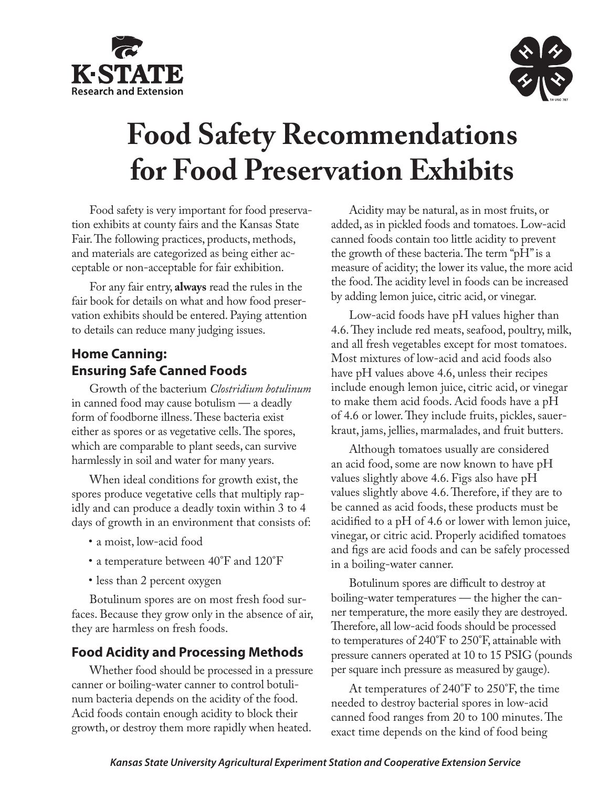



# **Food Safety Recommendations for Food Preservation Exhibits**

Food safety is very important for food preservation exhibits at county fairs and the Kansas State Fair. The following practices, products, methods, and materials are categorized as being either acceptable or non-acceptable for fair exhibition.

For any fair entry, **always** read the rules in the fair book for details on what and how food preservation exhibits should be entered. Paying attention to details can reduce many judging issues.

## **Home Canning: Ensuring Safe Canned Foods**

Growth of the bacterium *Clostridium botulinum* in canned food may cause botulism — a deadly form of foodborne illness. These bacteria exist either as spores or as vegetative cells. The spores, which are comparable to plant seeds, can survive harmlessly in soil and water for many years.

When ideal conditions for growth exist, the spores produce vegetative cells that multiply rapidly and can produce a deadly toxin within 3 to 4 days of growth in an environment that consists of:

- • a moist, low-acid food
- a temperature between 40°F and 120°F
- less than 2 percent oxygen

Botulinum spores are on most fresh food surfaces. Because they grow only in the absence of air, they are harmless on fresh foods.

## **Food Acidity and Processing Methods**

Whether food should be processed in a pressure canner or boiling-water canner to control botulinum bacteria depends on the acidity of the food. Acid foods contain enough acidity to block their growth, or destroy them more rapidly when heated.

Acidity may be natural, as in most fruits, or added, as in pickled foods and tomatoes. Low-acid canned foods contain too little acidity to prevent the growth of these bacteria. The term "pH" is a measure of acidity; the lower its value, the more acid the food. The acidity level in foods can be increased by adding lemon juice, citric acid, or vinegar.

Low-acid foods have pH values higher than 4.6. They include red meats, seafood, poultry, milk, and all fresh vegetables except for most tomatoes. Most mixtures of low-acid and acid foods also have pH values above 4.6, unless their recipes include enough lemon juice, citric acid, or vinegar to make them acid foods. Acid foods have a pH of 4.6 or lower. They include fruits, pickles, sauerkraut, jams, jellies, marmalades, and fruit butters.

Although tomatoes usually are considered an acid food, some are now known to have pH values slightly above 4.6. Figs also have pH values slightly above 4.6. Therefore, if they are to be canned as acid foods, these products must be acidified to a pH of 4.6 or lower with lemon juice, vinegar, or citric acid. Properly acidified tomatoes and figs are acid foods and can be safely processed in a boiling-water canner.

Botulinum spores are difficult to destroy at boiling-water temperatures — the higher the canner temperature, the more easily they are destroyed. Therefore, all low-acid foods should be processed to temperatures of 240°F to 250°F, attainable with pressure canners operated at 10 to 15 PSIG (pounds per square inch pressure as measured by gauge).

At temperatures of 240°F to 250°F, the time needed to destroy bacterial spores in low-acid canned food ranges from 20 to 100 minutes. The exact time depends on the kind of food being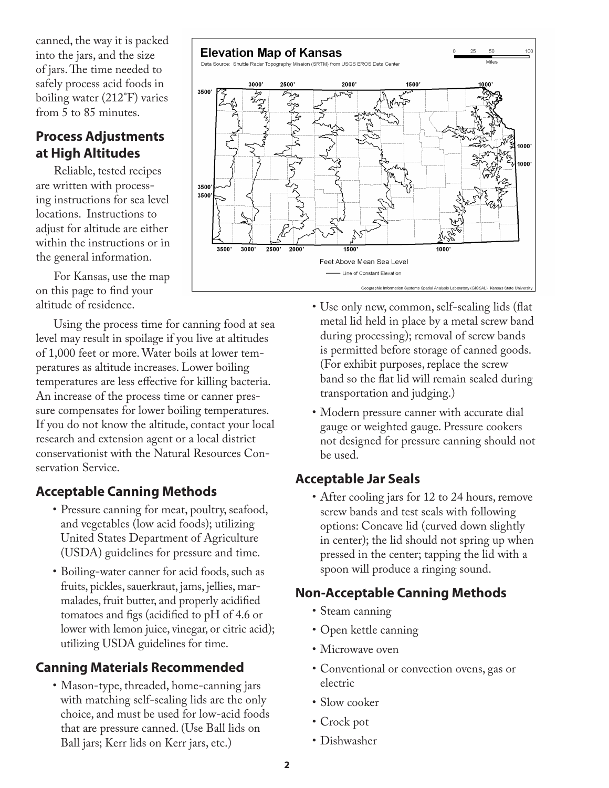canned, the way it is packed into the jars, and the size of jars. The time needed to safely process acid foods in boiling water (212°F) varies from 5 to 85 minutes.

## **Process Adjustments at High Altitudes**

Reliable, tested recipes are written with processing instructions for sea level locations. Instructions to adjust for altitude are either within the instructions or in the general information.

For Kansas, use the map on this page to find your altitude of residence.

Using the process time for canning food at sea level may result in spoilage if you live at altitudes of 1,000 feet or more. Water boils at lower temperatures as altitude increases. Lower boiling temperatures are less effective for killing bacteria. An increase of the process time or canner pressure compensates for lower boiling temperatures. If you do not know the altitude, contact your local research and extension agent or a local district conservationist with the Natural Resources Conservation Service.

## **Acceptable Canning Methods**

- Pressure canning for meat, poultry, seafood, and vegetables (low acid foods); utilizing United States Department of Agriculture (USDA) guidelines for pressure and time.
- • Boiling-water canner for acid foods, such as fruits, pickles, sauerkraut, jams, jellies, marmalades, fruit butter, and properly acidified tomatoes and figs (acidified to pH of 4.6 or lower with lemon juice, vinegar, or citric acid); utilizing USDA guidelines for time.

## **Canning Materials Recommended**

• Mason-type, threaded, home-canning jars with matching self-sealing lids are the only choice, and must be used for low-acid foods that are pressure canned. (Use Ball lids on Ball jars; Kerr lids on Kerr jars, etc.)



- • Use only new, common, self-sealing lids (flat metal lid held in place by a metal screw band during processing); removal of screw bands is permitted before storage of canned goods. (For exhibit purposes, replace the screw band so the flat lid will remain sealed during transportation and judging.)
- Modern pressure canner with accurate dial gauge or weighted gauge. Pressure cookers not designed for pressure canning should not be used.

## **Acceptable Jar Seals**

• After cooling jars for 12 to 24 hours, remove screw bands and test seals with following options: Concave lid (curved down slightly in center); the lid should not spring up when pressed in the center; tapping the lid with a spoon will produce a ringing sound.

## **Non-Acceptable Canning Methods**

- Steam canning
- • Open kettle canning
- Microwave oven
- • Conventional or convection ovens, gas or electric
- Slow cooker
- • Crock pot
- • Dishwasher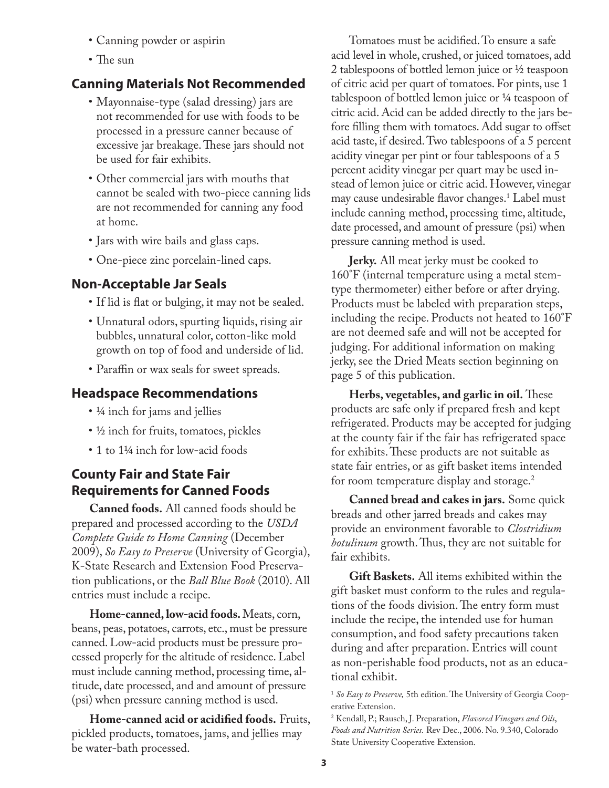- • Canning powder or aspirin
- The sun

## **Canning Materials Not Recommended**

- Mayonnaise-type (salad dressing) jars are not recommended for use with foods to be processed in a pressure canner because of excessive jar breakage. These jars should not be used for fair exhibits.
- Other commercial jars with mouths that cannot be sealed with two-piece canning lids are not recommended for canning any food at home.
- Jars with wire bails and glass caps.
- • One-piece zinc porcelain-lined caps.

## **Non-Acceptable Jar Seals**

- If lid is flat or bulging, it may not be sealed.
- • Unnatural odors, spurting liquids, rising air bubbles, unnatural color, cotton-like mold growth on top of food and underside of lid.
- Paraffin or wax seals for sweet spreads.

## **Headspace Recommendations**

- 1/4 inch for jams and jellies
- ½ inch for fruits, tomatoes, pickles
- 1 to 1¼ inch for low-acid foods

## **County Fair and State Fair Requirements for Canned Foods**

**Canned foods.** All canned foods should be prepared and processed according to the *USDA Complete Guide to Home Canning* (December 2009), *So Easy to Preserve* (University of Georgia), K-State Research and Extension Food Preservation publications, or the *Ball Blue Book* (2010). All entries must include a recipe.

**Home-canned, low-acid foods.** Meats, corn, beans, peas, potatoes, carrots, etc., must be pressure canned. Low-acid products must be pressure processed properly for the altitude of residence. Label must include canning method, processing time, altitude, date processed, and and amount of pressure (psi) when pressure canning method is used.

**Home-canned acid or acidified foods.** Fruits, pickled products, tomatoes, jams, and jellies may be water-bath processed.

Tomatoes must be acidified. To ensure a safe acid level in whole, crushed, or juiced tomatoes, add 2 tablespoons of bottled lemon juice or ½ teaspoon of citric acid per quart of tomatoes. For pints, use 1 tablespoon of bottled lemon juice or ¼ teaspoon of citric acid. Acid can be added directly to the jars before filling them with tomatoes. Add sugar to offset acid taste, if desired. Two tablespoons of a 5 percent acidity vinegar per pint or four tablespoons of a 5 percent acidity vinegar per quart may be used instead of lemon juice or citric acid. However, vinegar may cause undesirable flavor changes.<sup>1</sup> Label must include canning method, processing time, altitude, date processed, and amount of pressure (psi) when pressure canning method is used.

**Jerky.** All meat jerky must be cooked to 160°F (internal temperature using a metal stemtype thermometer) either before or after drying. Products must be labeled with preparation steps, including the recipe. Products not heated to 160°F are not deemed safe and will not be accepted for judging. For additional information on making jerky, see the Dried Meats section beginning on page 5 of this publication.

**Herbs, vegetables, and garlic in oil.** These products are safe only if prepared fresh and kept refrigerated. Products may be accepted for judging at the county fair if the fair has refrigerated space for exhibits. These products are not suitable as state fair entries, or as gift basket items intended for room temperature display and storage.<sup>2</sup>

**Canned bread and cakes in jars.** Some quick breads and other jarred breads and cakes may provide an environment favorable to *Clostridium botulinum* growth. Thus, they are not suitable for fair exhibits.

**Gift Baskets.** All items exhibited within the gift basket must conform to the rules and regulations of the foods division. The entry form must include the recipe, the intended use for human consumption, and food safety precautions taken during and after preparation. Entries will count as non-perishable food products, not as an educational exhibit.

<sup>1</sup> *So Easy to Preserve,* 5th edition. The University of Georgia Cooperative Extension.

<sup>2</sup> Kendall, P.; Rausch, J. Preparation, *Flavored Vinegars and Oils*, *Foods and Nutrition Series.* Rev Dec., 2006. No. 9.340, Colorado State University Cooperative Extension.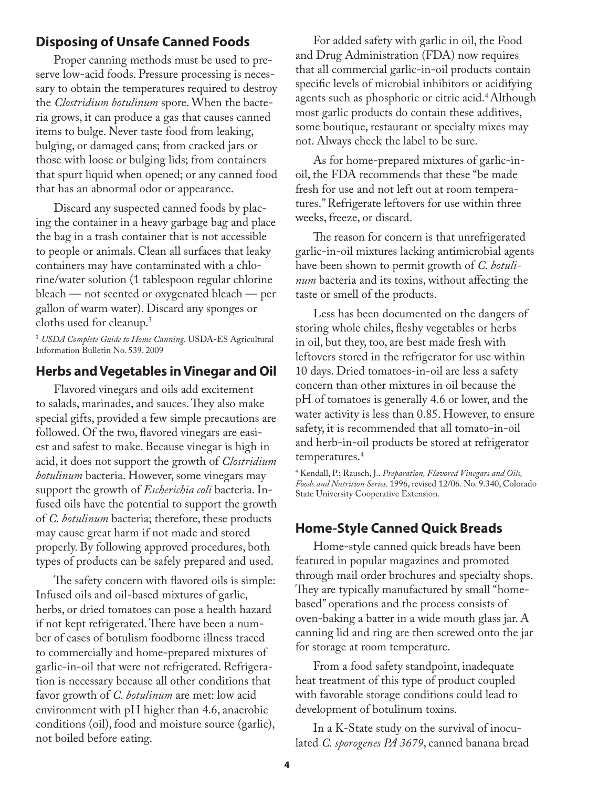#### **Disposing of Unsafe Canned Foods**

Proper canning methods must be used to preserve low-acid foods. Pressure processing is necessary to obtain the temperatures required to destroy the *Clostridium botulinum* spore. When the bacteria grows, it can produce a gas that causes canned items to bulge. Never taste food from leaking, bulging, or damaged cans; from cracked jars or those with loose or bulging lids; from containers that spurt liquid when opened; or any canned food that has an abnormal odor or appearance.

Discard any suspected canned foods by placing the container in a heavy garbage bag and place the bag in a trash container that is not accessible to people or animals. Clean all surfaces that leaky containers may have contaminated with a chlorine/water solution (1 tablespoon regular chlorine bleach — not scented or oxygenated bleach — per gallon of warm water). Discard any sponges or cloths used for cleanup.3

<sup>3</sup> *USDA Complete Guide to Home Canning.* USDA-ES Agricultural Information Bulletin No. 539. 2009

#### **Herbs and Vegetables in Vinegar and Oil**

Flavored vinegars and oils add excitement to salads, marinades, and sauces. They also make special gifts, provided a few simple precautions are followed. Of the two, flavored vinegars are easiest and safest to make. Because vinegar is high in acid, it does not support the growth of *Clostridium botulinum* bacteria. However, some vinegars may support the growth of *Escherichia coli* bacteria. Infused oils have the potential to support the growth of *C. botulinum* bacteria; therefore, these products may cause great harm if not made and stored properly. By following approved procedures, both types of products can be safely prepared and used.

The safety concern with flavored oils is simple: Infused oils and oil-based mixtures of garlic, herbs, or dried tomatoes can pose a health hazard if not kept refrigerated. There have been a number of cases of botulism foodborne illness traced to commercially and home-prepared mixtures of garlic-in-oil that were not refrigerated. Refrigeration is necessary because all other conditions that favor growth of *C. botulinum* are met: low acid environment with pH higher than 4.6, anaerobic conditions (oil), food and moisture source (garlic), not boiled before eating.

For added safety with garlic in oil, the Food and Drug Administration (FDA) now requires that all commercial garlic-in-oil products contain specific levels of microbial inhibitors or acidifying agents such as phosphoric or citric acid.<sup>4</sup> Although most garlic products do contain these additives, some boutique, restaurant or specialty mixes may not. Always check the label to be sure.

As for home-prepared mixtures of garlic-inoil, the FDA recommends that these "be made fresh for use and not left out at room temperatures." Refrigerate leftovers for use within three weeks, freeze, or discard.

The reason for concern is that unrefrigerated garlic-in-oil mixtures lacking antimicrobial agents have been shown to permit growth of *C. botulinum* bacteria and its toxins, without affecting the taste or smell of the products.

Less has been documented on the dangers of storing whole chiles, fleshy vegetables or herbs in oil, but they, too, are best made fresh with leftovers stored in the refrigerator for use within 10 days. Dried tomatoes-in-oil are less a safety concern than other mixtures in oil because the pH of tomatoes is generally 4.6 or lower, and the water activity is less than 0.85. However, to ensure safety, it is recommended that all tomato-in-oil and herb-in-oil products be stored at refrigerator temperatures.4

4 Kendall, P.; Rausch, J.. *Preparation, Flavored Vinegars and Oils, Foods and Nutrition Series*. 1996, revised 12/06. No. 9.340, Colorado State University Cooperative Extension.

#### **Home-Style Canned Quick Breads**

Home-style canned quick breads have been featured in popular magazines and promoted through mail order brochures and specialty shops. They are typically manufactured by small "homebased" operations and the process consists of oven-baking a batter in a wide mouth glass jar. A canning lid and ring are then screwed onto the jar for storage at room temperature.

From a food safety standpoint, inadequate heat treatment of this type of product coupled with favorable storage conditions could lead to development of botulinum toxins.

In a K-State study on the survival of inoculated *C. sporogenes PA 3679*, canned banana bread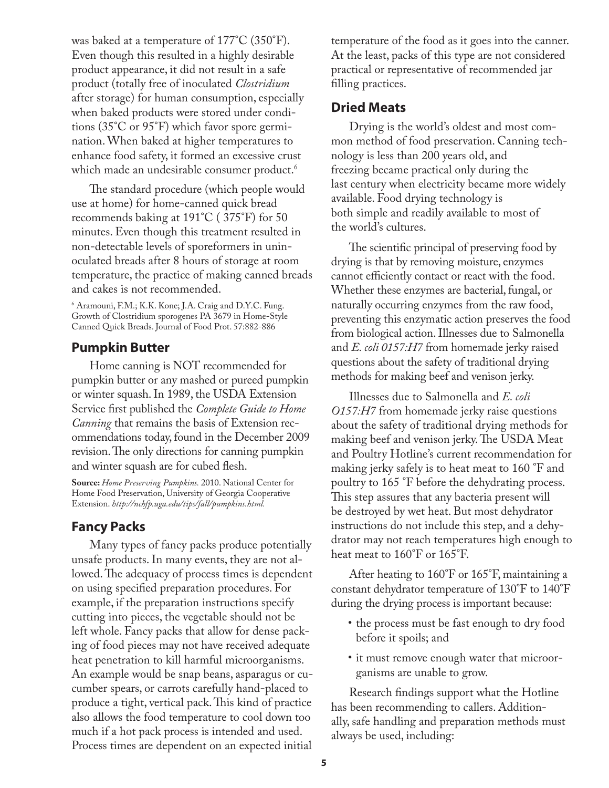was baked at a temperature of 177°C (350°F). Even though this resulted in a highly desirable product appearance, it did not result in a safe product (totally free of inoculated *Clostridium* after storage) for human consumption, especially when baked products were stored under conditions (35°C or 95°F) which favor spore germination. When baked at higher temperatures to enhance food safety, it formed an excessive crust which made an undesirable consumer product.<sup>6</sup>

The standard procedure (which people would use at home) for home-canned quick bread recommends baking at 191°C ( 375°F) for 50 minutes. Even though this treatment resulted in non-detectable levels of sporeformers in uninoculated breads after 8 hours of storage at room temperature, the practice of making canned breads and cakes is not recommended.

6 Aramouni, F.M.; K.K. Kone; J.A. Craig and D.Y.C. Fung. Growth of Clostridium sporogenes PA 3679 in Home-Style Canned Quick Breads. Journal of Food Prot. 57:882-886

#### **Pumpkin Butter**

Home canning is NOT recommended for pumpkin butter or any mashed or pureed pumpkin or winter squash. In 1989, the USDA Extension Service first published the *Complete Guide to Home Canning* that remains the basis of Extension recommendations today, found in the December 2009 revision. The only directions for canning pumpkin and winter squash are for cubed flesh.

**Source:** *Home Preserving Pumpkins.* 2010. National Center for Home Food Preservation, University of Georgia Cooperative Extension. *http://nchfp.uga.edu/tips/fall/pumpkins.html.* 

#### **Fancy Packs**

Many types of fancy packs produce potentially unsafe products. In many events, they are not allowed. The adequacy of process times is dependent on using specified preparation procedures. For example, if the preparation instructions specify cutting into pieces, the vegetable should not be left whole. Fancy packs that allow for dense packing of food pieces may not have received adequate heat penetration to kill harmful microorganisms. An example would be snap beans, asparagus or cucumber spears, or carrots carefully hand-placed to produce a tight, vertical pack. This kind of practice also allows the food temperature to cool down too much if a hot pack process is intended and used. Process times are dependent on an expected initial

temperature of the food as it goes into the canner. At the least, packs of this type are not considered practical or representative of recommended jar filling practices.

#### **Dried Meats**

Drying is the world's oldest and most common method of food preservation. Canning technology is less than 200 years old, and freezing became practical only during the last century when electricity became more widely available. Food drying technology is both simple and readily available to most of the world's cultures.

The scientific principal of preserving food by drying is that by removing moisture, enzymes cannot efficiently contact or react with the food. Whether these enzymes are bacterial, fungal, or naturally occurring enzymes from the raw food, preventing this enzymatic action preserves the food from biological action. Illnesses due to Salmonella and *E. coli 0157:H7* from homemade jerky raised questions about the safety of traditional drying methods for making beef and venison jerky.

Illnesses due to Salmonella and *E. coli O157:H7* from homemade jerky raise questions about the safety of traditional drying methods for making beef and venison jerky. The USDA Meat and Poultry Hotline's current recommendation for making jerky safely is to heat meat to 160 °F and poultry to 165 °F before the dehydrating process. This step assures that any bacteria present will be destroyed by wet heat. But most dehydrator instructions do not include this step, and a dehydrator may not reach temperatures high enough to heat meat to 160°F or 165°F.

After heating to 160°F or 165°F, maintaining a constant dehydrator temperature of 130°F to 140°F during the drying process is important because:

- the process must be fast enough to dry food before it spoils; and
- it must remove enough water that microorganisms are unable to grow.

Research findings support what the Hotline has been recommending to callers. Additionally, safe handling and preparation methods must always be used, including: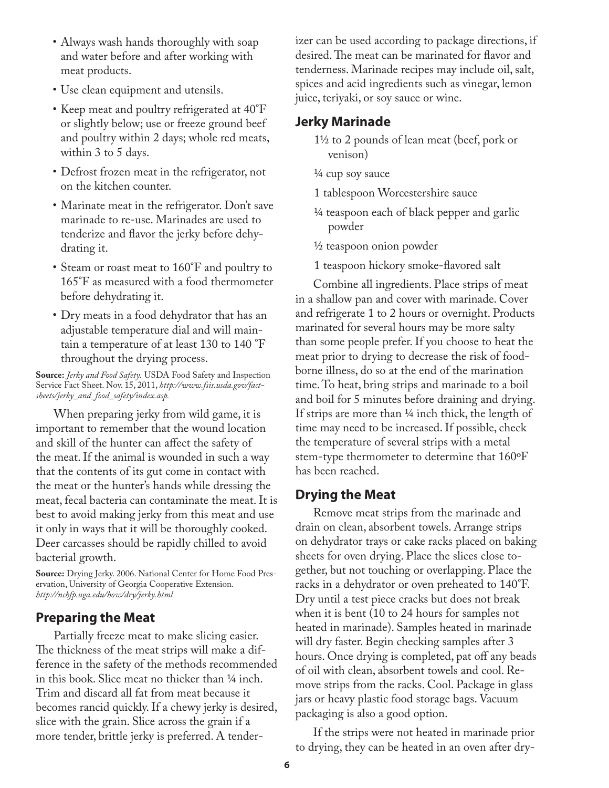- Always wash hands thoroughly with soap and water before and after working with meat products.
- Use clean equipment and utensils.
- Keep meat and poultry refrigerated at 40°F or slightly below; use or freeze ground beef and poultry within 2 days; whole red meats, within 3 to 5 days.
- • Defrost frozen meat in the refrigerator, not on the kitchen counter.
- Marinate meat in the refrigerator. Don't save marinade to re-use. Marinades are used to tenderize and flavor the jerky before dehydrating it.
- Steam or roast meat to 160°F and poultry to 165°F as measured with a food thermometer before dehydrating it.
- Dry meats in a food dehydrator that has an adjustable temperature dial and will maintain a temperature of at least 130 to 140 °F throughout the drying process.

**Source:** *Jerky and Food Safety.* USDA Food Safety and Inspection Service Fact Sheet. Nov. 15, 2011, *http://www.fsis.usda.gov/factsheets/jerky\_and\_food\_safety/index.asp.* 

When preparing jerky from wild game, it is important to remember that the wound location and skill of the hunter can affect the safety of the meat. If the animal is wounded in such a way that the contents of its gut come in contact with the meat or the hunter's hands while dressing the meat, fecal bacteria can contaminate the meat. It is best to avoid making jerky from this meat and use it only in ways that it will be thoroughly cooked. Deer carcasses should be rapidly chilled to avoid bacterial growth.

**Source:** Drying Jerky. 2006. National Center for Home Food Preservation, University of Georgia Cooperative Extension. *http://nchfp.uga.edu/how/dry/jerky.html*

#### **Preparing the Meat**

Partially freeze meat to make slicing easier. The thickness of the meat strips will make a difference in the safety of the methods recommended in this book. Slice meat no thicker than ¼ inch. Trim and discard all fat from meat because it becomes rancid quickly. If a chewy jerky is desired, slice with the grain. Slice across the grain if a more tender, brittle jerky is preferred. A tenderizer can be used according to package directions, if desired. The meat can be marinated for flavor and tenderness. Marinade recipes may include oil, salt, spices and acid ingredients such as vinegar, lemon juice, teriyaki, or soy sauce or wine.

#### **Jerky Marinade**

- 1½ to 2 pounds of lean meat (beef, pork or venison)
- ¼ cup soy sauce
- 1 tablespoon Worcestershire sauce
- ¼ teaspoon each of black pepper and garlic powder
- ½ teaspoon onion powder
- 1 teaspoon hickory smoke-flavored salt

Combine all ingredients. Place strips of meat in a shallow pan and cover with marinade. Cover and refrigerate 1 to 2 hours or overnight. Products marinated for several hours may be more salty than some people prefer. If you choose to heat the meat prior to drying to decrease the risk of foodborne illness, do so at the end of the marination time. To heat, bring strips and marinade to a boil and boil for 5 minutes before draining and drying. If strips are more than ¼ inch thick, the length of time may need to be increased. If possible, check the temperature of several strips with a metal stem-type thermometer to determine that 160ºF has been reached.

#### **Drying the Meat**

Remove meat strips from the marinade and drain on clean, absorbent towels. Arrange strips on dehydrator trays or cake racks placed on baking sheets for oven drying. Place the slices close together, but not touching or overlapping. Place the racks in a dehydrator or oven preheated to 140°F. Dry until a test piece cracks but does not break when it is bent (10 to 24 hours for samples not heated in marinade). Samples heated in marinade will dry faster. Begin checking samples after 3 hours. Once drying is completed, pat off any beads of oil with clean, absorbent towels and cool. Remove strips from the racks. Cool. Package in glass jars or heavy plastic food storage bags. Vacuum packaging is also a good option.

If the strips were not heated in marinade prior to drying, they can be heated in an oven after dry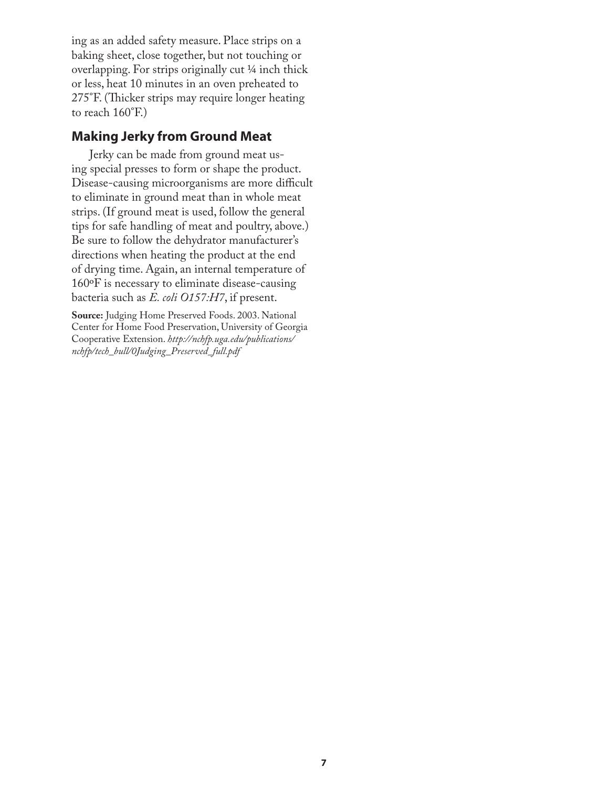ing as an added safety measure. Place strips on a baking sheet, close together, but not touching or overlapping. For strips originally cut ¼ inch thick or less, heat 10 minutes in an oven preheated to 275°F. (Thicker strips may require longer heating to reach 160°F.)

### **Making Jerky from Ground Meat**

Jerky can be made from ground meat using special presses to form or shape the product. Disease-causing microorganisms are more difficult to eliminate in ground meat than in whole meat strips. (If ground meat is used, follow the general tips for safe handling of meat and poultry, above.) Be sure to follow the dehydrator manufacturer's directions when heating the product at the end of drying time. Again, an internal temperature of 160ºF is necessary to eliminate disease-causing bacteria such as *E. coli O157:H7*, if present.

**Source:** Judging Home Preserved Foods. 2003. National Center for Home Food Preservation, University of Georgia Cooperative Extension. *http://nchfp.uga.edu/publications/ nchfp/tech\_bull/0Judging\_Preserved\_full.pdf*